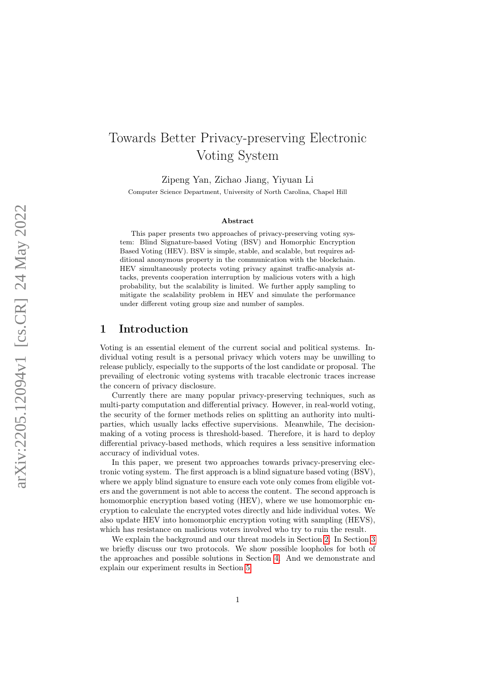# Towards Better Privacy-preserving Electronic Voting System

Zipeng Yan, Zichao Jiang, Yiyuan Li Computer Science Department, University of North Carolina, Chapel Hill

#### Abstract

This paper presents two approaches of privacy-preserving voting system: Blind Signature-based Voting (BSV) and Homorphic Encryption Based Voting (HEV). BSV is simple, stable, and scalable, but requires additional anonymous property in the communication with the blockchain. HEV simultaneously protects voting privacy against traffic-analysis attacks, prevents cooperation interruption by malicious voters with a high probability, but the scalability is limited. We further apply sampling to mitigate the scalability problem in HEV and simulate the performance under different voting group size and number of samples.

## 1 Introduction

Voting is an essential element of the current social and political systems. Individual voting result is a personal privacy which voters may be unwilling to release publicly, especially to the supports of the lost candidate or proposal. The prevailing of electronic voting systems with tracable electronic traces increase the concern of privacy disclosure.

Currently there are many popular privacy-preserving techniques, such as multi-party computation and differential privacy. However, in real-world voting, the security of the former methods relies on splitting an authority into multiparties, which usually lacks effective supervisions. Meanwhile, The decisionmaking of a voting process is threshold-based. Therefore, it is hard to deploy differential privacy-based methods, which requires a less sensitive information accuracy of individual votes.

In this paper, we present two approaches towards privacy-preserving electronic voting system. The first approach is a blind signature based voting (BSV), where we apply blind signature to ensure each vote only comes from eligible voters and the government is not able to access the content. The second approach is homomorphic encryption based voting (HEV), where we use homomorphic encryption to calculate the encrypted votes directly and hide individual votes. We also update HEV into homomorphic encryption voting with sampling (HEVS), which has resistance on malicious voters involved who try to ruin the result.

We explain the background and our threat models in Section [2.](#page-1-0) In Section [3](#page-1-1) we briefly discuss our two protocols. We show possible loopholes for both of the approaches and possible solutions in Section [4.](#page-2-0) And we demonstrate and explain our experiment results in Section [5.](#page-6-0)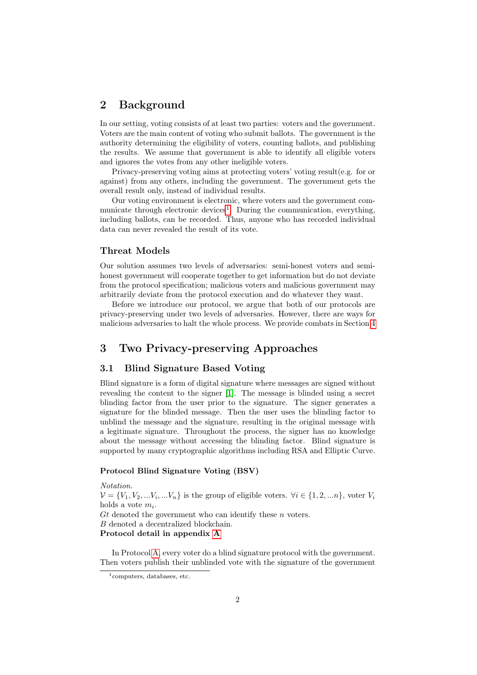# <span id="page-1-0"></span>2 Background

In our setting, voting consists of at least two parties: voters and the government. Voters are the main content of voting who submit ballots. The government is the authority determining the eligibility of voters, counting ballots, and publishing the results. We assume that government is able to identify all eligible voters and ignores the votes from any other ineligible voters.

Privacy-preserving voting aims at protecting voters' voting result(e.g. for or against) from any others, including the government. The government gets the overall result only, instead of individual results.

Our voting environment is electronic, where voters and the government com-municate through electronic devices<sup>[1](#page-1-2)</sup>. During the communication, everything, including ballots, can be recorded. Thus, anyone who has recorded individual data can never revealed the result of its vote.

## Threat Models

Our solution assumes two levels of adversaries: semi-honest voters and semihonest government will cooperate together to get information but do not deviate from the protocol specification; malicious voters and malicious government may arbitrarily deviate from the protocol execution and do whatever they want.

Before we introduce our protocol, we argue that both of our protocols are privacy-preserving under two levels of adversaries. However, there are ways for malicious adversaries to halt the whole process. We provide combats in Section [4](#page-2-0)

# <span id="page-1-1"></span>3 Two Privacy-preserving Approaches

## 3.1 Blind Signature Based Voting

Blind signature is a form of digital signature where messages are signed without revealing the content to the signer [\[1\]](#page-6-1). The message is blinded using a secret blinding factor from the user prior to the signature. The signer generates a signature for the blinded message. Then the user uses the blinding factor to unblind the message and the signature, resulting in the original message with a legitimate signature. Throughout the process, the signer has no knowledge about the message without accessing the blinding factor. Blind signature is supported by many cryptographic algorithms including RSA and Elliptic Curve.

## Protocol Blind Signature Voting (BSV)

Notation.  $\mathcal{V} = \{V_1, V_2, \dots V_i, \dots V_n\}$  is the group of eligible voters.  $\forall i \in \{1, 2, \dots n\}$ , voter  $V_i$ holds a vote  $m_i$ .  $G_t$  denoted the government who can identify these n voters. B denoted a decentralized blockchain. Protocol detail in appendix [A](#page-8-0)

In Protocol [A,](#page-8-0) every voter do a blind signature protocol with the government. Then voters publish their unblinded vote with the signature of the government

<span id="page-1-2"></span> $1$ computers, databases, etc.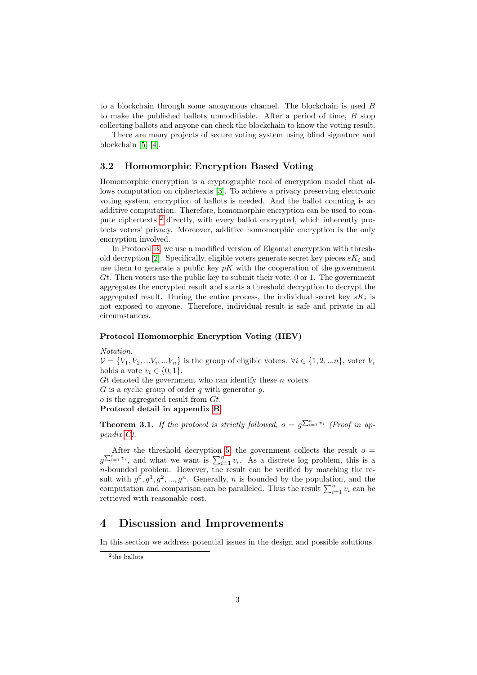to a blockchain through some anonymous channel. The blockchain is used  $B$ to make the published ballots unmodifiable. After a period of time,  $B$  stop collecting ballots and anyone can check the blockchain to know the voting result.

There are many projects of secure voting system using blind signature and blockchain [\[5\]](#page-7-0) [\[4\]](#page-7-1).

#### 3.2 Homomorphic Encryption Based Voting

Homomorphic encryption is a cryptographic tool of encryption model that allows computation on ciphertexts [\[3\]](#page-7-2). To achieve a privacy preserving electronic voting system, encryption of ballots is needed. And the ballot counting is an additive computation. Therefore, homomorphic encryption can be used to compute ciphertexts [2](#page-2-1) directly, with every ballot encrypted, which inherently protects voters' privacy. Moreover, additive homomorphic encryption is the only encryption involved.

In Protocol [B,](#page-9-0) we use a modified version of Elgamal encryption with thresh-old decryption [\[2\]](#page-7-3). Specifically, eligible voters generate secret key pieces  $sK_i$  and use them to generate a public key  $pK$  with the cooperation of the government Gt. Then voters use the public key to submit their vote,  $0$  or 1. The government aggregates the encrypted result and starts a threshold decryption to decrypt the aggregated result. During the entire process, the individual secret key  $sK_i$  is not exposed to anyone. Therefore, individual result is safe and private in all circumstances.

#### Protocol Homomorphic Encryption Voting (HEV)

Notation.

 $\mathcal{V} = \{V_1, V_2, \dots V_i, \dots V_n\}$  is the group of eligible voters.  $\forall i \in \{1, 2, \dots n\}$ , voter  $V_i$ holds a vote  $v_i \in \{0, 1\}.$ 

Gt denoted the government who can identify these  $n$  voters.

 $G$  is a cyclic group of order  $q$  with generator  $q$ .

 $o$  is the aggregated result from  $Gt$ .

Protocol detail in appendix [B](#page-9-0)

<span id="page-2-2"></span>**Theorem 3.1.** If the protocol is strictly followed,  $o = g^{\sum_{i=1}^{n} v_i}$  (Proof in appendix [C\)](#page-10-0).

After the threshold decryption [5,](#page-9-1) the government collects the result  $o =$  $g^{\sum_{i=1}^{n} v_i}$ , and what we want is  $\sum_{i=1}^{n} v_i$ . As a discrete log problem, this is a n-bounded problem. However, the result can be verified by matching the result with  $g^0, g^1, g^2, ..., g^n$ . Generally, n is bounded by the population, and the computation and comparison can be paralleled. Thus the result  $\sum_{i=1}^{n} v_i$  can be retrieved with reasonable cost.

# <span id="page-2-0"></span>4 Discussion and Improvements

In this section we address potential issues in the design and possible solutions.

<span id="page-2-1"></span><sup>2</sup> the ballots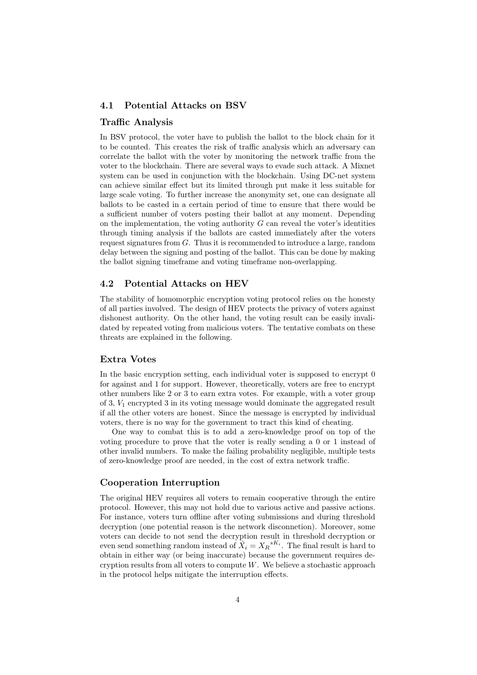#### 4.1 Potential Attacks on BSV

#### Traffic Analysis

In BSV protocol, the voter have to publish the ballot to the block chain for it to be counted. This creates the risk of traffic analysis which an adversary can correlate the ballot with the voter by monitoring the network traffic from the voter to the blockchain. There are several ways to evade such attack. A Mixnet system can be used in conjunction with the blockchain. Using DC-net system can achieve similar effect but its limited through put make it less suitable for large scale voting. To further increase the anonymity set, one can designate all ballots to be casted in a certain period of time to ensure that there would be a sufficient number of voters posting their ballot at any moment. Depending on the implementation, the voting authority  $G$  can reveal the voter's identities through timing analysis if the ballots are casted immediately after the voters request signatures from  $G$ . Thus it is recommended to introduce a large, random delay between the signing and posting of the ballot. This can be done by making the ballot signing timeframe and voting timeframe non-overlapping.

#### 4.2 Potential Attacks on HEV

The stability of homomorphic encryption voting protocol relies on the honesty of all parties involved. The design of HEV protects the privacy of voters against dishonest authority. On the other hand, the voting result can be easily invalidated by repeated voting from malicious voters. The tentative combats on these threats are explained in the following.

#### Extra Votes

In the basic encryption setting, each individual voter is supposed to encrypt 0 for against and 1 for support. However, theoretically, voters are free to encrypt other numbers like 2 or 3 to earn extra votes. For example, with a voter group of 3,  $V_1$  encrypted 3 in its voting message would dominate the aggregated result if all the other voters are honest. Since the message is encrypted by individual voters, there is no way for the government to tract this kind of cheating.

One way to combat this is to add a zero-knowledge proof on top of the voting procedure to prove that the voter is really sending a 0 or 1 instead of other invalid numbers. To make the failing probability negligible, multiple tests of zero-knowledge proof are needed, in the cost of extra network traffic.

### Cooperation Interruption

The original HEV requires all voters to remain cooperative through the entire protocol. However, this may not hold due to various active and passive actions. For instance, voters turn offline after voting submissions and during threshold decryption (one potential reason is the network disconnetion). Moreover, some voters can decide to not send the decryption result in threshold decryption or even send something random instead of  $\hat{X}_i = X_R^{sK_i}$ . The final result is hard to obtain in either way (or being inaccurate) because the government requires decryption results from all voters to compute  $W$ . We believe a stochastic approach in the protocol helps mitigate the interruption effects.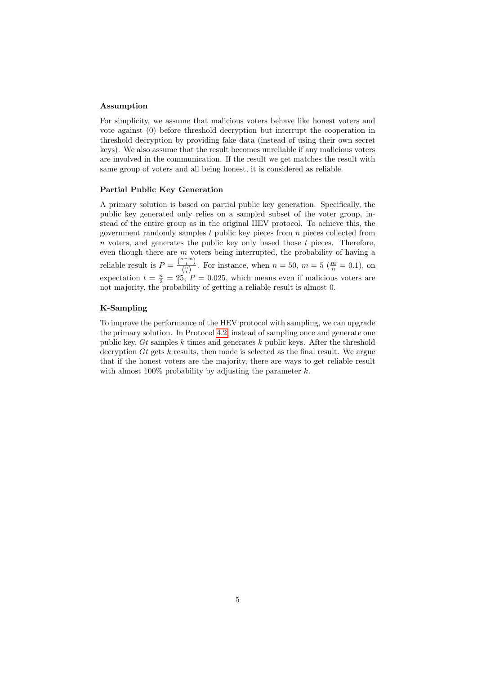#### <span id="page-4-0"></span>Assumption

For simplicity, we assume that malicious voters behave like honest voters and vote against (0) before threshold decryption but interrupt the cooperation in threshold decryption by providing fake data (instead of using their own secret keys). We also assume that the result becomes unreliable if any malicious voters are involved in the communication. If the result we get matches the result with same group of voters and all being honest, it is considered as reliable.

#### Partial Public Key Generation

A primary solution is based on partial public key generation. Specifically, the public key generated only relies on a sampled subset of the voter group, instead of the entire group as in the original HEV protocol. To achieve this, the government randomly samples t public key pieces from  $n$  pieces collected from  $n$  voters, and generates the public key only based those  $t$  pieces. Therefore, even though there are  $m$  voters being interrupted, the probability of having a reliable result is  $P = \frac{\binom{n-m}{t}}{\binom{n}{n}}$  $\left(\frac{n}{\binom{n}{k}}\right)$ . For instance, when  $n = 50$ ,  $m = 5\left(\frac{m}{n}\right) = 0.1$ , on expectation  $t = \frac{n}{2} = 25$ ,  $P = 0.025$ , which means even if malicious voters are not majority, the probability of getting a reliable result is almost 0.

#### K-Sampling

To improve the performance of the HEV protocol with sampling, we can upgrade the primary solution. In Protocol [4.2,](#page-5-0) instead of sampling once and generate one public key,  $Gt$  samples  $k$  times and generates  $k$  public keys. After the threshold decryption  $Gt$  gets  $k$  results, then mode is selected as the final result. We argue that if the honest voters are the majority, there are ways to get reliable result with almost  $100\%$  probability by adjusting the parameter k.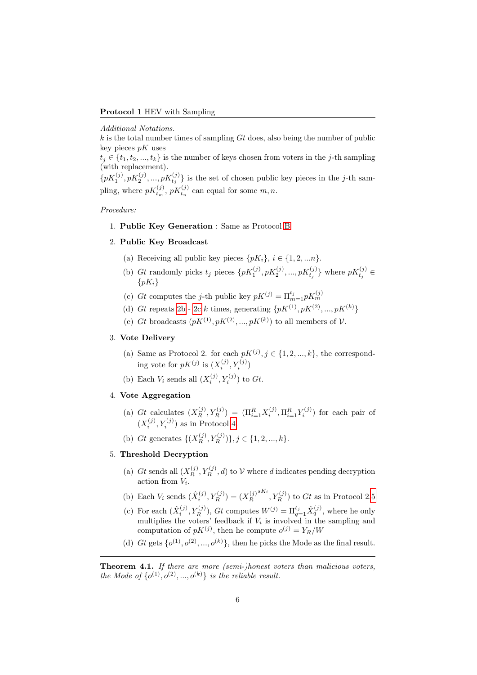<span id="page-5-0"></span>Additional Notations.

 $k$  is the total number times of sampling  $Gt$  does, also being the number of public key pieces  $pK$  uses

 $t_i \in \{t_1, t_2, ..., t_k\}$  is the number of keys chosen from voters in the j-th sampling (with replacement).

 $\{pK_1^{(j)}, pK_2^{(j)}, ..., pK_{t_j}^{(j)}\}$  is the set of chosen public key pieces in the j-th sampling, where  $pK_{t_m}^{(j)}$ ,  $pK_{t_n}^{(j)}$  can equal for some  $m, n$ .

Procedure:

## 1. Public Key Generation : Same as Protocol [B](#page-9-0)

#### 2. Public Key Broadcast

- (a) Receiving all public key pieces  $\{pK_i\}, i \in \{1, 2, \ldots n\}.$
- <span id="page-5-1"></span>(b) Gt randomly picks  $t_j$  pieces  $\{pK_1^{(j)}, pK_2^{(j)}, ..., pK_{t_j}^{(j)}\}$  where  $pK_{t_j}^{(j)} \in$  ${pK_i}$
- <span id="page-5-2"></span>(c) Gt computes the j-th public key  $pK^{(j)} = \prod_{m=1}^{t_j} pK_m^{(j)}$
- (d) Gt repeats [2b](#page-5-1) - [2c](#page-5-2) k times, generating  $\{pK^{(1)}, pK^{(2)}, ..., pK^{(k)}\}$
- (e) Gt broadcasts  $(pK^{(1)}, pK^{(2)}, ..., pK^{(k)})$  to all members of V.

## 3. Vote Delivery

- (a) Same as Protocol 2. for each  $pK^{(j)}$ ,  $j \in \{1, 2, ..., k\}$ , the corresponding vote for  $pK^{(j)}$  is  $(X_i^{(j)}, Y_i^{(j)})$
- (b) Each  $V_i$  sends all  $(X_i^{(j)}, Y_i^{(j)})$  to  $Gt$ .

## 4. Vote Aggregation

- (a) Gt calculates  $(X_R^{(j)}, Y_R^{(j)}) = (\Pi_{i=1}^R X_i^{(j)}, \Pi_{i=1}^R Y_i^{(j)})$  for each pair of  $(X_i^{(j)}, Y_i^{(j)})$  as in Protocol [4.](#page-9-2)
- (b) Gt generates  $\{(X_R^{(j)}, Y_R^{(j)})\}, j \in \{1, 2, ..., k\}.$

#### 5. Threshold Decryption

- (a) Gt sends all  $(X_R^{(j)}, Y_R^{(j)}, d)$  to V where d indicates pending decryption action from  $V_i$ .
- (b) Each  $V_i$  sends  $(\hat{X}_i^{(j)}, Y_R^{(j)}) = (X_R^{(j)})$ R  ${}^{sK_i}, Y_R^{(j)}$  to  $Gt$  as in Protocol 2[.5](#page-9-1)
- (c) For each  $(\hat{X}_i^{(j)}, Y_R^{(j)})$ , Gt computes  $W^{(j)} = \prod_{q=1}^{t_j} \hat{X}_q^{(j)}$ , where he only multiplies the voters' feedback if  $V_i$  is involved in the sampling and computation of  $pK^{(j)}$ , then he compute  $o^{(j)} = Y_R/W$
- (d) Gt gets  $\{o^{(1)}, o^{(2)}, \ldots, o^{(k)}\}$ , then he picks the Mode as the final result.

<span id="page-5-3"></span>Theorem 4.1. If there are more (semi-)honest voters than malicious voters, the Mode of  $\{o^{(1)}, o^{(2)}, ..., o^{(k)}\}$  is the reliable result.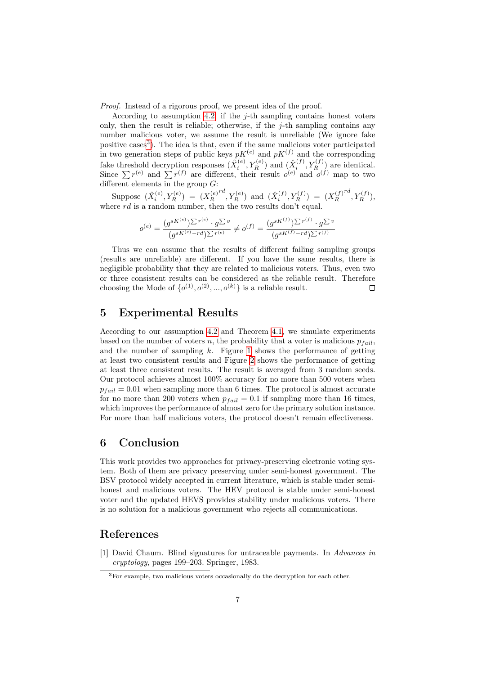Proof. Instead of a rigorous proof, we present idea of the proof.

According to assumption [4.2,](#page-4-0) if the  $j$ -th sampling contains honest voters only, then the result is reliable; otherwise, if the  $j$ -th sampling contains any number malicious voter, we assume the result is unreliable (We ignore fake positive cases<sup>[3](#page-6-2)</sup>). The idea is that, even if the same malicious voter participated in two generation steps of public keys  $pK^{(e)}$  and  $pK^{(f)}$  and the corresponding fake threshold decryption responses  $(\hat{X}_i^{(e)}, Y_R^{(e)})$  and  $(\hat{X}_i^{(f)}, Y_R^{(f)})$  are identical. Since  $\sum r^{(e)}$  and  $\sum r^{(f)}$  are different, their result  $o^{(e)}$  and  $o^{(f)}$  map to two different elements in the group  $G$ :

Suppose  $(\hat{X}_i^{(e)}, Y_R^{(e)}) = (X_R^{(e)})$ R  $(T^{d}, Y^{(e)}_{R})$  and  $(\hat{X}^{(f)}_{i}, Y^{(f)}_{R}) = (X^{(f)}_{R})$ R  $\binom{rd}{R}, Y_R^{(f)}$ where  $rd$  is a random number, then the two results don't equal.

$$
o^{(e)} = \frac{(g^{sK^{(e)}})^{\sum r^{(e)}} \cdot g^{\sum v}}{(g^{sK^{(e)}} - rd)^{\sum r^{(e)}}} \neq o^{(f)} = \frac{(g^{sK^{(f)}})^{\sum r^{(f)}} \cdot g^{\sum v}}{(g^{sK^{(f)}} - rd)^{\sum r^{(f)}}}
$$

Thus we can assume that the results of different failing sampling groups (results are unreliable) are different. If you have the same results, there is negligible probability that they are related to malicious voters. Thus, even two or three consistent results can be considered as the reliable result. Therefore choosing the Mode of  $\{o^{(1)}, o^{(2)}, \ldots, o^{(k)}\}$  is a reliable result.  $\Box$ 

# <span id="page-6-0"></span>5 Experimental Results

According to our assumption [4.2](#page-4-0) and Theorem [4.1,](#page-5-3) we simulate experiments based on the number of voters n, the probability that a voter is malicious  $p_{fail}$ , and the number of sampling  $k$ . Figure [1](#page-11-0) shows the performance of getting at least two consistent results and Figure [2](#page-11-1) shows the performance of getting at least three consistent results. The result is averaged from 3 random seeds. Our protocol achieves almost 100% accuracy for no more than 500 voters when  $p_{fail} = 0.01$  when sampling more than 6 times. The protocol is almost accurate for no more than 200 voters when  $p_{fail} = 0.1$  if sampling more than 16 times, which improves the performance of almost zero for the primary solution instance. For more than half malicious voters, the protocol doesn't remain effectiveness.

# 6 Conclusion

This work provides two approaches for privacy-preserving electronic voting system. Both of them are privacy preserving under semi-honest government. The BSV protocol widely accepted in current literature, which is stable under semihonest and malicious voters. The HEV protocol is stable under semi-honest voter and the updated HEVS provides stability under malicious voters. There is no solution for a malicious government who rejects all communications.

# References

<span id="page-6-1"></span>[1] David Chaum. Blind signatures for untraceable payments. In Advances in cryptology, pages 199–203. Springer, 1983.

<span id="page-6-2"></span><sup>&</sup>lt;sup>3</sup>For example, two malicious voters occasionally do the decryption for each other.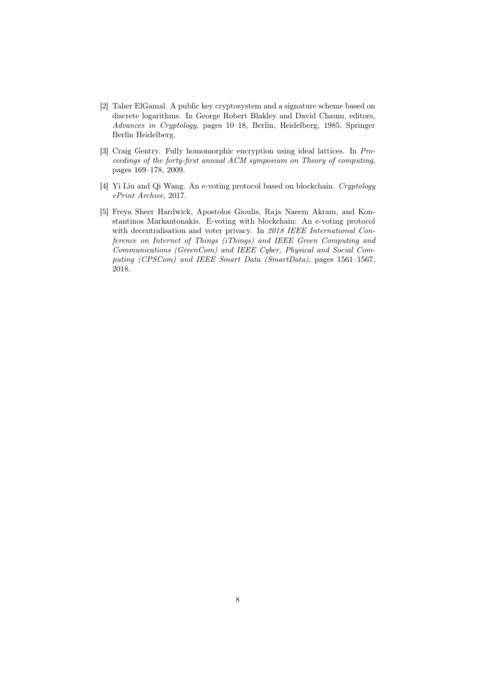- <span id="page-7-3"></span>[2] Taher ElGamal. A public key cryptosystem and a signature scheme based on discrete logarithms. In George Robert Blakley and David Chaum, editors, Advances in Cryptology, pages 10–18, Berlin, Heidelberg, 1985. Springer Berlin Heidelberg.
- <span id="page-7-2"></span>[3] Craig Gentry. Fully homomorphic encryption using ideal lattices. In Proceedings of the forty-first annual ACM symposium on Theory of computing, pages 169–178, 2009.
- <span id="page-7-1"></span>[4] Yi Liu and Qi Wang. An e-voting protocol based on blockchain. Cryptology ePrint Archive, 2017.
- <span id="page-7-0"></span>[5] Freya Sheer Hardwick, Apostolos Gioulis, Raja Naeem Akram, and Konstantinos Markantonakis. E-voting with blockchain: An e-voting protocol with decentralisation and voter privacy. In 2018 IEEE International Conference on Internet of Things (iThings) and IEEE Green Computing and Communications (GreenCom) and IEEE Cyber, Physical and Social Computing (CPSCom) and IEEE Smart Data (SmartData), pages 1561-1567, 2018.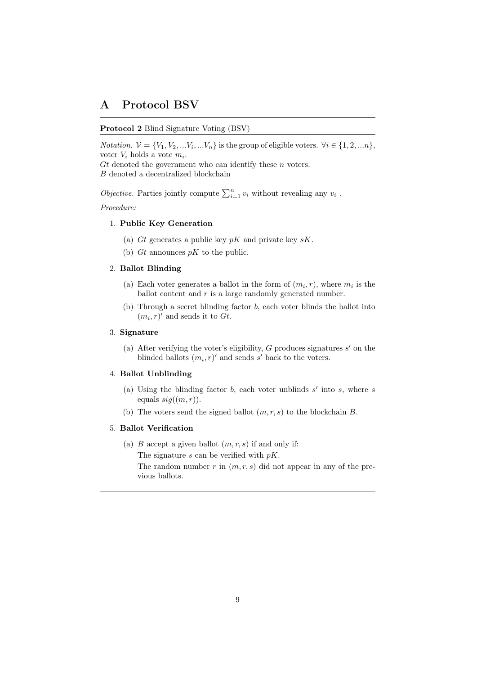# A Protocol BSV

#### <span id="page-8-0"></span>Protocol 2 Blind Signature Voting (BSV)

*Notation.*  $V = \{V_1, V_2, \dots V_i, \dots V_n\}$  is the group of eligible voters.  $\forall i \in \{1, 2, \dots n\}$ , voter  $V_i$  holds a vote  $m_i$ .

 $G_t$  denoted the government who can identify these n voters.  $B$  denoted a decentralized blockchain  $% \left\vert \cdot \right\rangle$ 

*Objective.* Parties jointly compute  $\sum_{i=1}^{n} v_i$  without revealing any  $v_i$ .

Procedure:

## 1. Public Key Generation

- (a) Gt generates a public key  $pK$  and private key  $sK$ .
- (b) Gt announces  $pK$  to the public.

#### 2. Ballot Blinding

- (a) Each voter generates a ballot in the form of  $(m_i, r)$ , where  $m_i$  is the ballot content and r is a large randomly generated number.
- (b) Through a secret blinding factor b, each voter blinds the ballot into  $(m_i, r)'$  and sends it to  $Gt$ .

#### 3. Signature

(a) After verifying the voter's eligibility,  $G$  produces signatures  $s'$  on the blinded ballots  $(m_i, r)'$  and sends s' back to the voters.

#### 4. Ballot Unblinding

- (a) Using the blinding factor  $b$ , each voter unblinds  $s'$  into  $s$ , where  $s$ equals  $sig((m, r))$ .
- (b) The voters send the signed ballot  $(m, r, s)$  to the blockchain B.

#### 5. Ballot Verification

(a)  $B$  accept a given ballot  $(m, r, s)$  if and only if:

The signature  $s$  can be verified with  $pK$ .

The random number r in  $(m, r, s)$  did not appear in any of the previous ballots.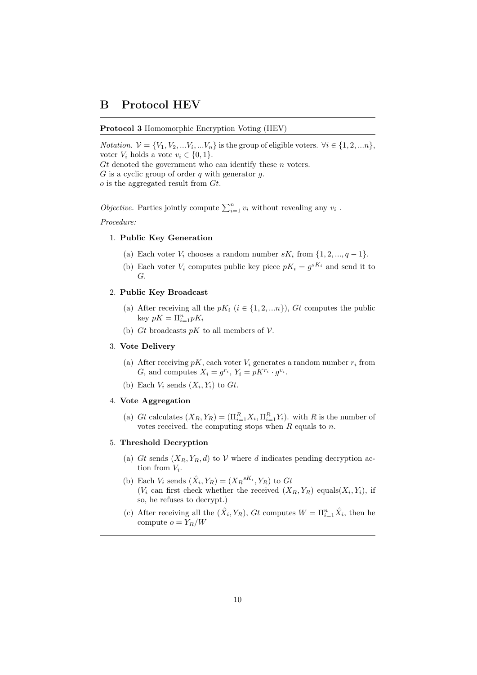# B Protocol HEV

## <span id="page-9-0"></span>Protocol 3 Homomorphic Encryption Voting (HEV)

*Notation.*  $V = \{V_1, V_2, \dots V_i, \dots V_n\}$  is the group of eligible voters.  $\forall i \in \{1, 2, \dots n\}$ , voter  $V_i$  holds a vote  $v_i \in \{0, 1\}.$ 

 $G_t$  denoted the government who can identify these n voters.

 $G$  is a cyclic group of order  $q$  with generator  $q$ .

 $o$  is the aggregated result from  $Gt$ .

*Objective.* Parties jointly compute  $\sum_{i=1}^{n} v_i$  without revealing any  $v_i$ .

Procedure:

#### 1. Public Key Generation

- (a) Each voter  $V_i$  chooses a random number  $sK_i$  from  $\{1, 2, ..., q-1\}$ .
- (b) Each voter  $V_i$  computes public key piece  $pK_i = g^{sK_i}$  and send it to G.

#### 2. Public Key Broadcast

- (a) After receiving all the  $pK_i$   $(i \in \{1, 2, \ldots n\})$ ,  $G_t$  computes the public key  $pK = \prod_{i=1}^n pK_i$
- (b) Gt broadcasts  $pK$  to all members of  $\mathcal V$ .

#### 3. Vote Delivery

- (a) After receiving  $pK$ , each voter  $V_i$  generates a random number  $r_i$  from G, and computes  $X_i = g^{r_i}$ ,  $Y_i = pK^{r_i} \cdot g^{v_i}$ .
- (b) Each  $V_i$  sends  $(X_i, Y_i)$  to  $Gt$ .

### <span id="page-9-2"></span>4. Vote Aggregation

(a) Gt calculates  $(X_R, Y_R) = (\prod_{i=1}^R X_i, \prod_{i=1}^R Y_i)$ , with R is the number of votes received. the computing stops when  $R$  equals to  $n$ .

#### <span id="page-9-1"></span>5. Threshold Decryption

- (a) Gt sends  $(X_R, Y_R, d)$  to V where d indicates pending decryption action from  $V_i$ .
- (b) Each  $V_i$  sends  $(\hat{X}_i, Y_R) = (X_R{}^{sK_i}, Y_R)$  to  $Gt$  $(V_i \text{ can first check whether the received } (X_R, Y_R) \text{ equals}(X_i, Y_i), \text{ if }$ so, he refuses to decrypt.)
- (c) After receiving all the  $(\hat{X}_i, Y_R)$ ,  $Gt$  computes  $W = \prod_{i=1}^n \hat{X}_i$ , then he compute  $o = Y_R/W$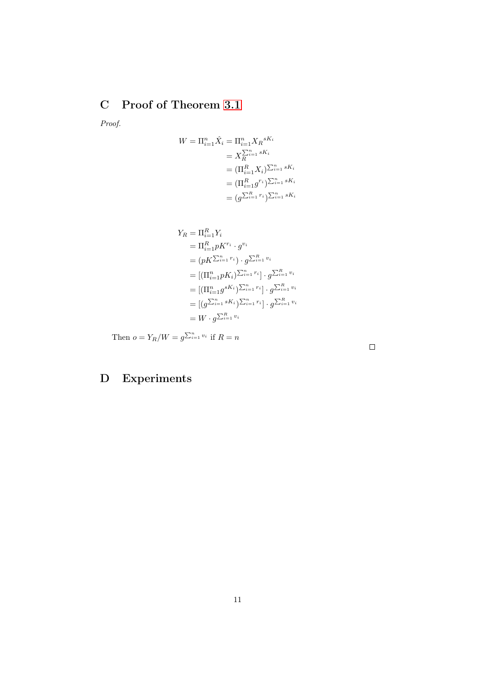# <span id="page-10-0"></span>C Proof of Theorem [3.1](#page-2-2)

Proof.

$$
W = \Pi_{i=1}^{n} \hat{X}_{i} = \Pi_{i=1}^{n} X_{R}^{sK_{i}}
$$
  
\n
$$
= X_{R}^{\sum_{i=1}^{n} sK_{i}}
$$
  
\n
$$
= (\Pi_{i=1}^{R} X_{i})^{\sum_{i=1}^{n} sK_{i}}
$$
  
\n
$$
= (\Pi_{i=1}^{R} g^{r_{i}})^{\sum_{i=1}^{n} sK_{i}}
$$
  
\n
$$
= (g^{\sum_{i=1}^{R} r_{i}})^{\sum_{i=1}^{n} sK_{i}}
$$

$$
Y_R = \Pi_{i=1}^R Y_i
$$
  
\n
$$
= \Pi_{i=1}^R pK^{r_i} \cdot g^{v_i}
$$
  
\n
$$
= (pK^{\sum_{i=1}^n r_i}) \cdot g^{\sum_{i=1}^R v_i}
$$
  
\n
$$
= [(\Pi_{i=1}^n pK_i)^{\sum_{i=1}^n r_i}] \cdot g^{\sum_{i=1}^R v_i}
$$
  
\n
$$
= [(T_{i=1}^n g^{sK_i})^{\sum_{i=1}^n r_i}] \cdot g^{\sum_{i=1}^R v_i}
$$
  
\n
$$
= [g^{\sum_{i=1}^n sK_i})^{\sum_{i=1}^n r_i}] \cdot g^{\sum_{i=1}^R v_i}
$$
  
\n
$$
= W \cdot g^{\sum_{i=1}^R v_i}
$$

Then  $o = Y_R/W = g^{\sum_{i=1}^n v_i}$  if  $R = n$ 

# D Experiments

 $\Box$